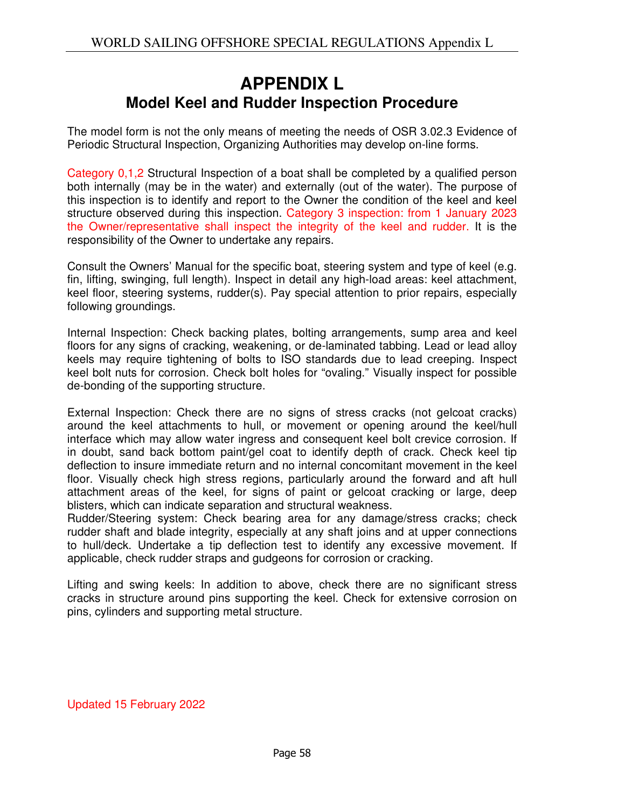## **APPENDIX L Model Keel and Rudder Inspection Procedure**

The model form is not the only means of meeting the needs of OSR 3.02.3 Evidence of Periodic Structural Inspection, Organizing Authorities may develop on-line forms.

Category 0,1,2 Structural Inspection of a boat shall be completed by a qualified person both internally (may be in the water) and externally (out of the water). The purpose of this inspection is to identify and report to the Owner the condition of the keel and keel structure observed during this inspection. Category 3 inspection: from 1 January 2023 the Owner/representative shall inspect the integrity of the keel and rudder. It is the responsibility of the Owner to undertake any repairs.

Consult the Owners' Manual for the specific boat, steering system and type of keel (e.g. fin, lifting, swinging, full length). Inspect in detail any high-load areas: keel attachment, keel floor, steering systems, rudder(s). Pay special attention to prior repairs, especially following groundings.

Internal Inspection: Check backing plates, bolting arrangements, sump area and keel floors for any signs of cracking, weakening, or de-laminated tabbing. Lead or lead alloy keels may require tightening of bolts to ISO standards due to lead creeping. Inspect keel bolt nuts for corrosion. Check bolt holes for "ovaling." Visually inspect for possible de-bonding of the supporting structure.

External Inspection: Check there are no signs of stress cracks (not gelcoat cracks) around the keel attachments to hull, or movement or opening around the keel/hull interface which may allow water ingress and consequent keel bolt crevice corrosion. If in doubt, sand back bottom paint/gel coat to identify depth of crack. Check keel tip deflection to insure immediate return and no internal concomitant movement in the keel floor. Visually check high stress regions, particularly around the forward and aft hull attachment areas of the keel, for signs of paint or gelcoat cracking or large, deep blisters, which can indicate separation and structural weakness.

Rudder/Steering system: Check bearing area for any damage/stress cracks; check rudder shaft and blade integrity, especially at any shaft joins and at upper connections to hull/deck. Undertake a tip deflection test to identify any excessive movement. If applicable, check rudder straps and gudgeons for corrosion or cracking.

Lifting and swing keels: In addition to above, check there are no significant stress cracks in structure around pins supporting the keel. Check for extensive corrosion on pins, cylinders and supporting metal structure.

Updated 15 February 2022